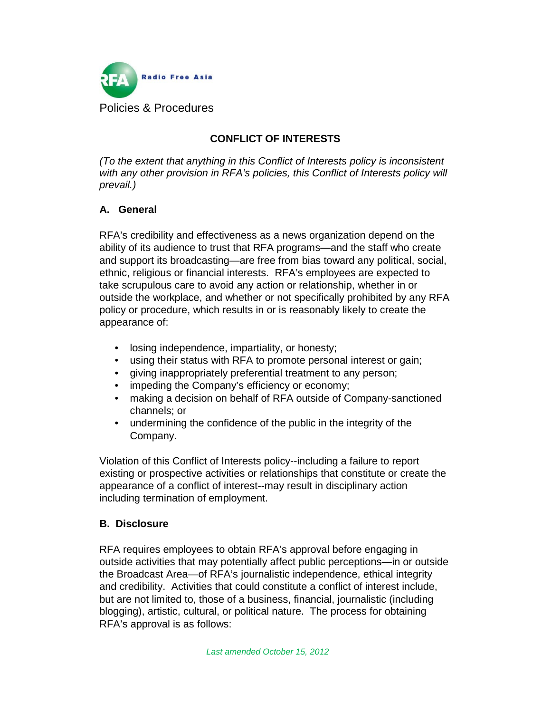

# **CONFLICT OF INTERESTS**

*(To the extent that anything in this Conflict of Interests policy is inconsistent with any other provision in RFA's policies, this Conflict of Interests policy will prevail.)* 

#### **A. General**

RFA's credibility and effectiveness as a news organization depend on the ability of its audience to trust that RFA programs—and the staff who create and support its broadcasting—are free from bias toward any political, social, ethnic, religious or financial interests. RFA's employees are expected to take scrupulous care to avoid any action or relationship, whether in or outside the workplace, and whether or not specifically prohibited by any RFA policy or procedure, which results in or is reasonably likely to create the appearance of:

- losing independence, impartiality, or honesty;
- using their status with RFA to promote personal interest or gain;
- giving inappropriately preferential treatment to any person;
- impeding the Company's efficiency or economy;
- making a decision on behalf of RFA outside of Company-sanctioned channels; or
- undermining the confidence of the public in the integrity of the Company.

Violation of this Conflict of Interests policy--including a failure to report existing or prospective activities or relationships that constitute or create the appearance of a conflict of interest--may result in disciplinary action including termination of employment.

#### **B. Disclosure**

RFA requires employees to obtain RFA's approval before engaging in outside activities that may potentially affect public perceptions—in or outside the Broadcast Area—of RFA's journalistic independence, ethical integrity and credibility. Activities that could constitute a conflict of interest include, but are not limited to, those of a business, financial, journalistic (including blogging), artistic, cultural, or political nature. The process for obtaining RFA's approval is as follows: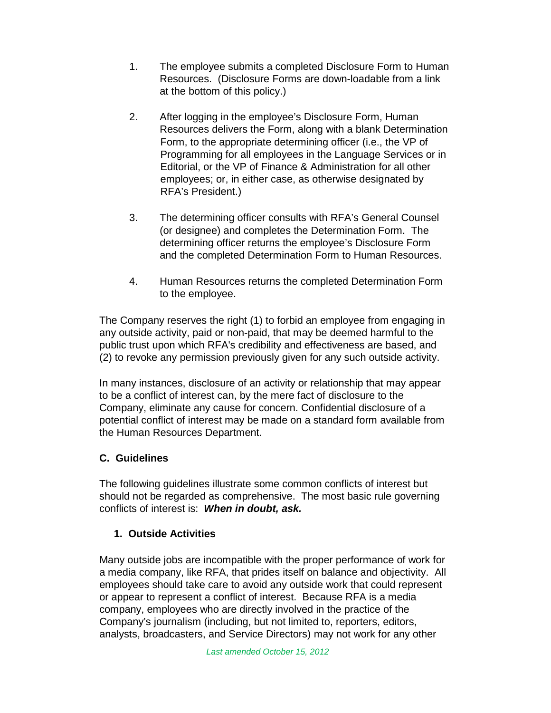- 1. The employee submits a completed Disclosure Form to Human Resources. (Disclosure Forms are down-loadable from a link at the bottom of this policy.)
- 2. After logging in the employee's Disclosure Form, Human Resources delivers the Form, along with a blank Determination Form, to the appropriate determining officer (i.e., the VP of Programming for all employees in the Language Services or in Editorial, or the VP of Finance & Administration for all other employees; or, in either case, as otherwise designated by RFA's President.)
- 3. The determining officer consults with RFA's General Counsel (or designee) and completes the Determination Form. The determining officer returns the employee's Disclosure Form and the completed Determination Form to Human Resources.
- 4. Human Resources returns the completed Determination Form to the employee.

The Company reserves the right (1) to forbid an employee from engaging in any outside activity, paid or non-paid, that may be deemed harmful to the public trust upon which RFA's credibility and effectiveness are based, and (2) to revoke any permission previously given for any such outside activity.

In many instances, disclosure of an activity or relationship that may appear to be a conflict of interest can, by the mere fact of disclosure to the Company, eliminate any cause for concern. Confidential disclosure of a potential conflict of interest may be made on a standard form available from the Human Resources Department.

## **C. Guidelines**

The following guidelines illustrate some common conflicts of interest but should not be regarded as comprehensive. The most basic rule governing conflicts of interest is: *When in doubt, ask.*

## **1. Outside Activities**

Many outside jobs are incompatible with the proper performance of work for a media company, like RFA, that prides itself on balance and objectivity. All employees should take care to avoid any outside work that could represent or appear to represent a conflict of interest. Because RFA is a media company, employees who are directly involved in the practice of the Company's journalism (including, but not limited to, reporters, editors, analysts, broadcasters, and Service Directors) may not work for any other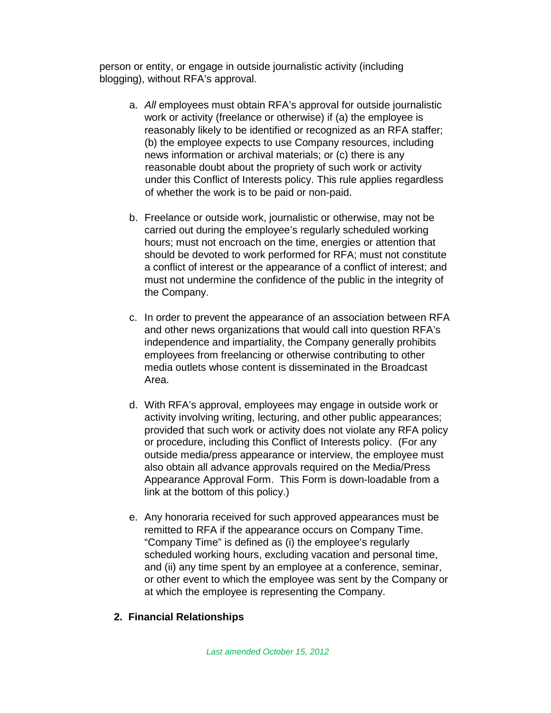person or entity, or engage in outside journalistic activity (including blogging), without RFA's approval.

- a. *All* employees must obtain RFA's approval for outside journalistic work or activity (freelance or otherwise) if (a) the employee is reasonably likely to be identified or recognized as an RFA staffer; (b) the employee expects to use Company resources, including news information or archival materials; or (c) there is any reasonable doubt about the propriety of such work or activity under this Conflict of Interests policy. This rule applies regardless of whether the work is to be paid or non-paid.
- b. Freelance or outside work, journalistic or otherwise, may not be carried out during the employee's regularly scheduled working hours; must not encroach on the time, energies or attention that should be devoted to work performed for RFA; must not constitute a conflict of interest or the appearance of a conflict of interest; and must not undermine the confidence of the public in the integrity of the Company.
- c. In order to prevent the appearance of an association between RFA and other news organizations that would call into question RFA's independence and impartiality, the Company generally prohibits employees from freelancing or otherwise contributing to other media outlets whose content is disseminated in the Broadcast Area.
- d. With RFA's approval, employees may engage in outside work or activity involving writing, lecturing, and other public appearances; provided that such work or activity does not violate any RFA policy or procedure, including this Conflict of Interests policy. (For any outside media/press appearance or interview, the employee must also obtain all advance approvals required on the Media/Press Appearance Approval Form. This Form is down-loadable from a link at the bottom of this policy.)
- e. Any honoraria received for such approved appearances must be remitted to RFA if the appearance occurs on Company Time. "Company Time" is defined as (i) the employee's regularly scheduled working hours, excluding vacation and personal time, and (ii) any time spent by an employee at a conference, seminar, or other event to which the employee was sent by the Company or at which the employee is representing the Company.

#### **2. Financial Relationships**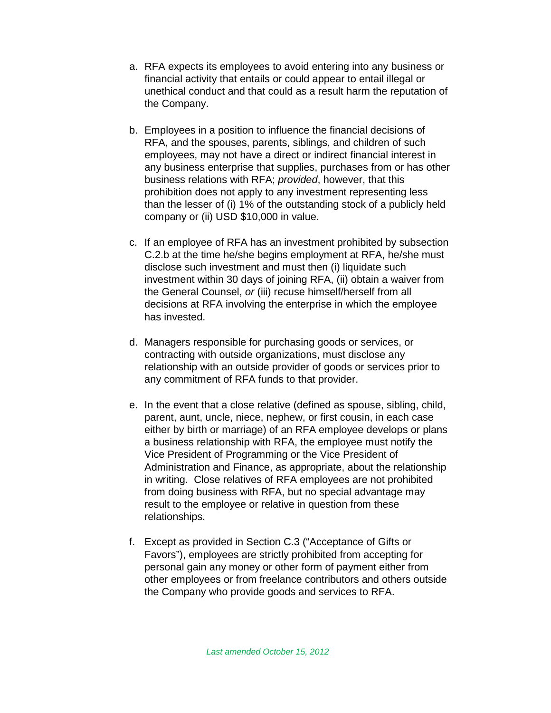- a. RFA expects its employees to avoid entering into any business or financial activity that entails or could appear to entail illegal or unethical conduct and that could as a result harm the reputation of the Company.
- b. Employees in a position to influence the financial decisions of RFA, and the spouses, parents, siblings, and children of such employees, may not have a direct or indirect financial interest in any business enterprise that supplies, purchases from or has other business relations with RFA; *provided*, however, that this prohibition does not apply to any investment representing less than the lesser of (i) 1% of the outstanding stock of a publicly held company or (ii) USD \$10,000 in value.
- c. If an employee of RFA has an investment prohibited by subsection C.2.b at the time he/she begins employment at RFA, he/she must disclose such investment and must then (i) liquidate such investment within 30 days of joining RFA, (ii) obtain a waiver from the General Counsel, *or* (iii) recuse himself/herself from all decisions at RFA involving the enterprise in which the employee has invested.
- d. Managers responsible for purchasing goods or services, or contracting with outside organizations, must disclose any relationship with an outside provider of goods or services prior to any commitment of RFA funds to that provider.
- e. In the event that a close relative (defined as spouse, sibling, child, parent, aunt, uncle, niece, nephew, or first cousin, in each case either by birth or marriage) of an RFA employee develops or plans a business relationship with RFA, the employee must notify the Vice President of Programming or the Vice President of Administration and Finance, as appropriate, about the relationship in writing. Close relatives of RFA employees are not prohibited from doing business with RFA, but no special advantage may result to the employee or relative in question from these relationships.
- f. Except as provided in Section C.3 ("Acceptance of Gifts or Favors"), employees are strictly prohibited from accepting for personal gain any money or other form of payment either from other employees or from freelance contributors and others outside the Company who provide goods and services to RFA.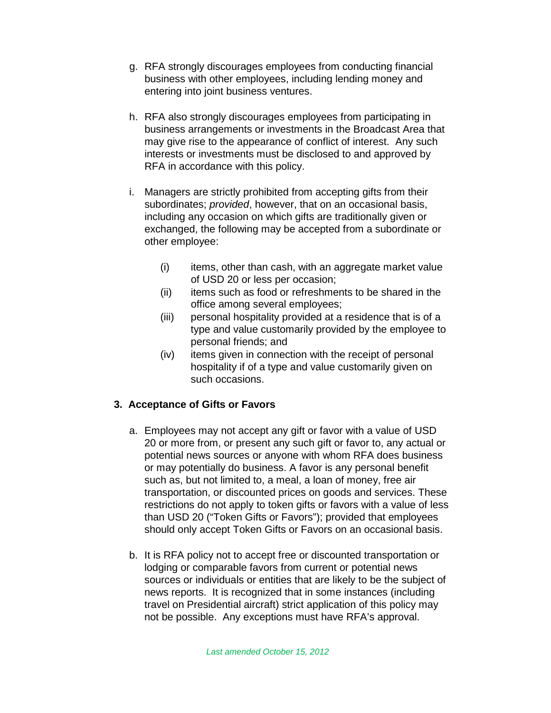- g. RFA strongly discourages employees from conducting financial business with other employees, including lending money and entering into joint business ventures.
- h. RFA also strongly discourages employees from participating in business arrangements or investments in the Broadcast Area that may give rise to the appearance of conflict of interest. Any such interests or investments must be disclosed to and approved by RFA in accordance with this policy.
- i. Managers are strictly prohibited from accepting gifts from their subordinates; *provided*, however, that on an occasional basis, including any occasion on which gifts are traditionally given or exchanged, the following may be accepted from a subordinate or other employee:
	- (i) items, other than cash, with an aggregate market value of USD 20 or less per occasion;
	- (ii) items such as food or refreshments to be shared in the office among several employees;
	- (iii) personal hospitality provided at a residence that is of a type and value customarily provided by the employee to personal friends; and
	- (iv) items given in connection with the receipt of personal hospitality if of a type and value customarily given on such occasions.

## **3. Acceptance of Gifts or Favors**

- a. Employees may not accept any gift or favor with a value of USD 20 or more from, or present any such gift or favor to, any actual or potential news sources or anyone with whom RFA does business or may potentially do business. A favor is any personal benefit such as, but not limited to, a meal, a loan of money, free air transportation, or discounted prices on goods and services. These restrictions do not apply to token gifts or favors with a value of less than USD 20 ("Token Gifts or Favors"); provided that employees should only accept Token Gifts or Favors on an occasional basis.
- b. It is RFA policy not to accept free or discounted transportation or lodging or comparable favors from current or potential news sources or individuals or entities that are likely to be the subject of news reports. It is recognized that in some instances (including travel on Presidential aircraft) strict application of this policy may not be possible. Any exceptions must have RFA's approval.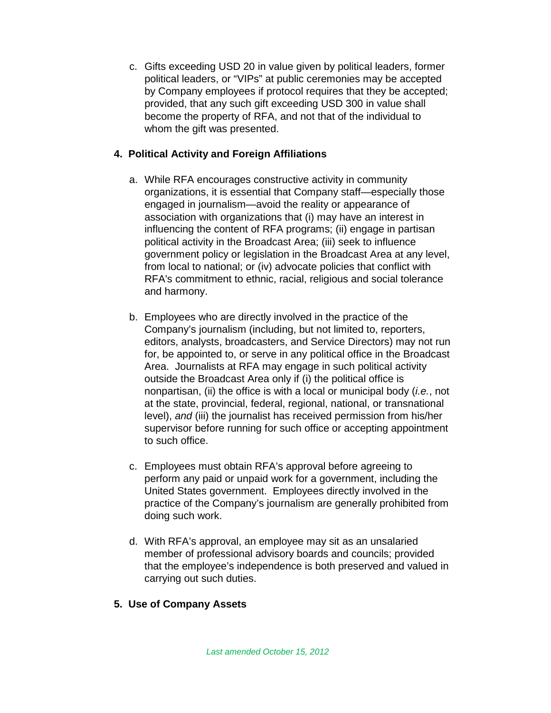c. Gifts exceeding USD 20 in value given by political leaders, former political leaders, or "VIPs" at public ceremonies may be accepted by Company employees if protocol requires that they be accepted; provided, that any such gift exceeding USD 300 in value shall become the property of RFA, and not that of the individual to whom the gift was presented.

#### **4. Political Activity and Foreign Affiliations**

- a. While RFA encourages constructive activity in community organizations, it is essential that Company staff—especially those engaged in journalism—avoid the reality or appearance of association with organizations that (i) may have an interest in influencing the content of RFA programs; (ii) engage in partisan political activity in the Broadcast Area; (iii) seek to influence government policy or legislation in the Broadcast Area at any level, from local to national; or (iv) advocate policies that conflict with RFA's commitment to ethnic, racial, religious and social tolerance and harmony.
- b. Employees who are directly involved in the practice of the Company's journalism (including, but not limited to, reporters, editors, analysts, broadcasters, and Service Directors) may not run for, be appointed to, or serve in any political office in the Broadcast Area. Journalists at RFA may engage in such political activity outside the Broadcast Area only if (i) the political office is nonpartisan, (ii) the office is with a local or municipal body (*i.e.*, not at the state, provincial, federal, regional, national, or transnational level), *and* (iii) the journalist has received permission from his/her supervisor before running for such office or accepting appointment to such office.
- c. Employees must obtain RFA's approval before agreeing to perform any paid or unpaid work for a government, including the United States government. Employees directly involved in the practice of the Company's journalism are generally prohibited from doing such work.
- d. With RFA's approval, an employee may sit as an unsalaried member of professional advisory boards and councils; provided that the employee's independence is both preserved and valued in carrying out such duties.

## **5. Use of Company Assets**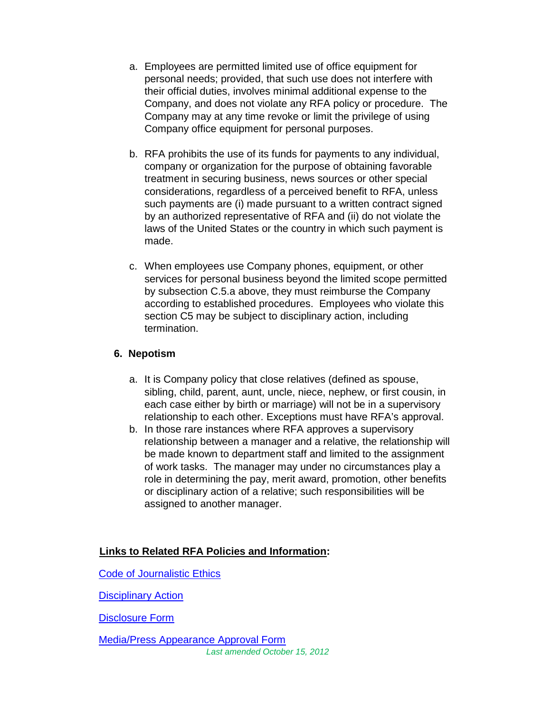- a. Employees are permitted limited use of office equipment for personal needs; provided, that such use does not interfere with their official duties, involves minimal additional expense to the Company, and does not violate any RFA policy or procedure. The Company may at any time revoke or limit the privilege of using Company office equipment for personal purposes.
- b. RFA prohibits the use of its funds for payments to any individual, company or organization for the purpose of obtaining favorable treatment in securing business, news sources or other special considerations, regardless of a perceived benefit to RFA, unless such payments are (i) made pursuant to a written contract signed by an authorized representative of RFA and (ii) do not violate the laws of the United States or the country in which such payment is made.
- c. When employees use Company phones, equipment, or other services for personal business beyond the limited scope permitted by subsection C.5.a above, they must reimburse the Company according to established procedures. Employees who violate this section C5 may be subject to disciplinary action, including termination.

#### **6. Nepotism**

- a. It is Company policy that close relatives (defined as spouse, sibling, child, parent, aunt, uncle, niece, nephew, or first cousin, in each case either by birth or marriage) will not be in a supervisory relationship to each other. Exceptions must have RFA's approval.
- b. In those rare instances where RFA approves a supervisory relationship between a manager and a relative, the relationship will be made known to department staff and limited to the assignment of work tasks. The manager may under no circumstances play a role in determining the pay, merit award, promotion, other benefits or disciplinary action of a relative; such responsibilities will be assigned to another manager.

#### **Links to Related RFA Policies and Information:**

[Code of Journalistic Ethics](http://home.rfa.org/intranet/index_of_rfa_policies-03162014112137.html/code_of_journalistic_ethics.pdf)

[Disciplinary Action](http://home.rfa.org/intranet/index_of_rfa_policies-03162014112137.html/disciplinary_action.pdf)

[Disclosure Form](http://home.rfa.org/intranet/rfa-forms-03202014124930.html/conflict_of_interest_disclosure.pdf)

*Last amended Octo[ber](http://home.rfa.org/intranet/rfa-forms-03202014124930.html/media_press_appearance_approval.pdf) 15, 2012*  [Media/Press Appearance Approval Form](http://home.rfa.org/intranet/rfa-forms-03202014124930.html/media_press_appearance_approval.pdf)